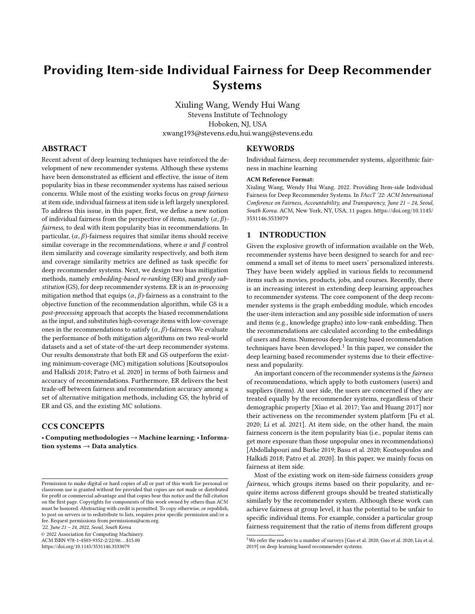# Providing Item-side Individual Fairness for Deep Recommender Systems

Xiuling Wang, Wendy Hui Wang Stevens Institute of Technology Hoboken, NJ, USA

xwang193@stevens.edu,hui.wang@stevens.edu

## ABSTRACT

Recent advent of deep learning techniques have reinforced the development of new recommender systems. Although these systems have been demonstrated as efficient and effective, the issue of item popularity bias in these recommender systems has raised serious concerns. While most of the existing works focus on group fairness at item side, individual fairness at item side is left largely unexplored. To address this issue, in this paper, first, we define a new notion of individual fairness from the perspective of items, namely  $(\alpha, \beta)$ fairness, to deal with item popularity bias in recommendations. In particular,  $(\alpha, \beta)$ -fairness requires that similar items should receive similar coverage in the recommendations, where  $\alpha$  and  $\beta$  control item similarity and coverage similarity respectively, and both item and coverage similarity metrics are defined as task specific for deep recommender systems. Next, we design two bias mitigation methods, namely embedding-based re-ranking (ER) and greedy substitution (GS), for deep recommender systems. ER is an in-processing mitigation method that equips  $(\alpha, \beta)$ -fairness as a constraint to the objective function of the recommendation algorithm, while GS is a post-processing approach that accepts the biased recommendations as the input, and substitutes high-coverage items with low-coverage ones in the recommendations to satisfy  $(\alpha, \beta)$ -fairness. We evaluate the performance of both mitigation algorithms on two real-world datasets and a set of state-of-the-art deep recommender systems. Our results demonstrate that both ER and GS outperform the existing minimum-coverage (MC) mitigation solutions [\[Koutsopoulos](#page-10-0) [and Halkidi 2018;](#page-10-0) [Patro et al.](#page-10-1) [2020\]](#page-10-1) in terms of both fairness and accuracy of recommendations. Furthermore, ER delivers the best trade-off between fairness and recommendation accuracy among a set of alternative mitigation methods, including GS, the hybrid of ER and GS, and the existing MC solutions.

# CCS CONCEPTS

• Computing methodologies → Machine learning; • Information systems  $\rightarrow$  Data analytics.

'22, June 21 – 24, 2022, Seoul, South Korea

© 2022 Association for Computing Machinery.

ACM ISBN 978-1-4503-9352-2/22/06. . . \$15.00 <https://doi.org/10.1145/3531146.3533079>

#### Individual fairness, deep recommender systems, algorithmic fairness in machine learning

#### ACM Reference Format:

**KEYWORDS** 

Xiuling Wang, Wendy Hui Wang. 2022. Providing Item-side Individual Fairness for Deep Recommender Systems. In FAccT '22: ACM International Conference on Fairness, Accountability, and Transparency, June 21 – 24, Seoul, South Korea. ACM, New York, NY, USA, [11](#page-10-2) pages. [https://doi.org/10.1145/](https://doi.org/10.1145/3531146.3533079) [3531146.3533079](https://doi.org/10.1145/3531146.3533079)

## 1 INTRODUCTION

Given the explosive growth of information available on the Web, recommender systems have been designed to search for and recommend a small set of items to meet users' personalized interests. They have been widely applied in various fields to recommend items such as movies, products, jobs, and courses. Recently, there is an increasing interest in extending deep learning approaches to recommender systems. The core component of the deep recommender systems is the graph embedding module, which encodes the user-item interaction and any possible side information of users and items (e.g., knowledge graphs) into low-rank embedding. Then the recommendations are calculated according to the embeddings of users and items. Numerous deep learning based recommendation techniques have been developed.<sup>[1](#page-0-0)</sup> In this paper, we consider the deep learning based recommender systems due to their effectiveness and popularity.

An important concern of the recommender systems is the fairness of recommendations, which apply to both customers (users) and suppliers (items). At user side, the users are concerned if they are treated equally by the recommender systems, regardless of their demographic property [\[Xiao et al. 2017;](#page-10-3) [Yao and Huang 2017\]](#page-10-4) nor their activeness on the recommender system platform [\[Fu et al.](#page-10-5) [2020;](#page-10-5) [Li et al.](#page-10-6) [2021\]](#page-10-6). At item side, on the other hand, the main fairness concern is the item popularity bias (i.e., popular items can get more exposure than those unpopular ones in recommendations) [\[Abdollahpouri and Burke 2019;](#page-9-0) [Basu et al.](#page-9-1) [2020;](#page-9-1) [Koutsopoulos and](#page-10-0) [Halkidi 2018;](#page-10-0) [Patro et al.](#page-10-1) [2020\]](#page-10-1). In this paper, we mainly focus on fairness at item side.

Most of the existing work on item-side fairness considers group fairness, which groups items based on their popularity, and require items across different groups should be treated statistically similarly by the recommender system. Although these work can achieve fairness at group level, it has the potential to be unfair to specific individual items. For example, consider a particular group fairness requirement that the ratio of items from different groups

Permission to make digital or hard copies of all or part of this work for personal or classroom use is granted without fee provided that copies are not made or distributed for profit or commercial advantage and that copies bear this notice and the full citation on the first page. Copyrights for components of this work owned by others than ACM must be honored. Abstracting with credit is permitted. To copy otherwise, or republish, to post on servers or to redistribute to lists, requires prior specific permission and/or a fee. Request permissions from permissions@acm.org.

<span id="page-0-0"></span><sup>&</sup>lt;sup>1</sup>We refer the readers to a number of surveys [\[Gao et al.](#page-10-7) [2020;](#page-10-8) [Guo et al.](#page-10-8) 2020; [Liu et al.](#page-10-9) [2019\]](#page-10-9) on deep learning based recommender systems.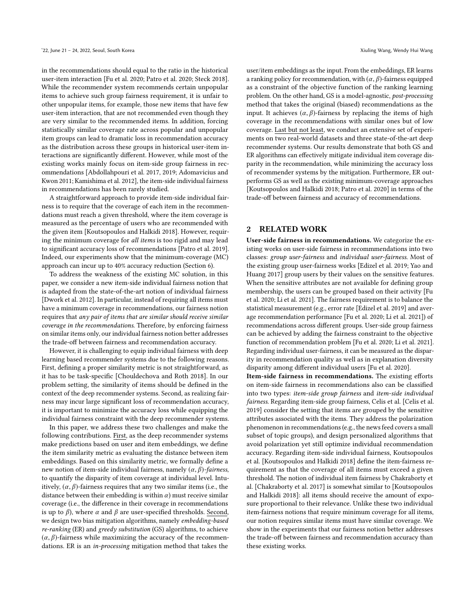in the recommendations should equal to the ratio in the historical user-item interaction [\[Fu et al.](#page-10-5) [2020;](#page-10-5) [Patro et al.](#page-10-1) [2020;](#page-10-1) [Steck 2018\]](#page-10-10). While the recommender system recommends certain unpopular items to achieve such group fairness requirement, it is unfair to other unpopular items, for example, those new items that have few user-item interaction, that are not recommended even though they are very similar to the recommended items. In addition, forcing statistically similar coverage rate across popular and unpopular item groups can lead to dramatic loss in recommendation accuracy as the distribution across these groups in historical user-item interactions are significantly different. However, while most of the existing works mainly focus on item-side group fairness in recommendations [\[Abdollahpouri et al.](#page-9-2) [2017,](#page-9-2) [2019;](#page-9-3) [Adomavicius and](#page-9-4) [Kwon 2011;](#page-9-4) [Kamishima et al.](#page-10-11) [2012\]](#page-10-11), the item-side individual fairness in recommendations has been rarely studied.

A straightforward approach to provide item-side individual fairness is to require that the coverage of each item in the recommendations must reach a given threshold, where the item coverage is measured as the percentage of users who are recommended with the given item [\[Koutsopoulos and Halkidi 2018\]](#page-10-0). However, requiring the minimum coverage for all items is too rigid and may lead to significant accuracy loss of recommendations [\[Patro et al.](#page-10-12) [2019\]](#page-10-12). Indeed, our experiments show that the minimum-coverage (MC) approach can incur up to 40% accuracy reduction (Section [6\)](#page-6-0).

To address the weakness of the existing MC solution, in this paper, we consider a new item-side individual fairness notion that is adapted from the state-of-the-art notion of individual fairness [\[Dwork et al.](#page-10-13) [2012\]](#page-10-13). In particular, instead of requiring all items must have a minimum coverage in recommendations, our fairness notion requires that any pair of items that are similar should receive similar coverage in the recommendations. Therefore, by enforcing fairness on similar items only, our individual fairness notion better addresses the trade-off between fairness and recommendation accuracy.

However, it is challenging to equip individual fairness with deep learning based recommender systems due to the following reasons. First, defining a proper similarity metric is not straightforward, as it has to be task-specific [\[Chouldechova and Roth 2018\]](#page-10-14). In our problem setting, the similarity of items should be defined in the context of the deep recommender systems. Second, as realizing fairness may incur large significant loss of recommendation accuracy, it is important to minimize the accuracy loss while equipping the individual fairness constraint with the deep recommender systems.

In this paper, we address these two challenges and make the following contributions. First, as the deep recommender systems make predictions based on user and item embeddings, we define the item similarity metric as evaluating the distance between item embeddings. Based on this similarity metric, we formally define a new notion of item-side individual fairness, namely  $(α, β)$ -fairness, to quantify the disparity of item coverage at individual level. Intuitively,  $(\alpha, \beta)$ -fairness requires that any two similar items (i.e., the distance between their embedding is within  $\alpha$ ) must receive similar coverage (i.e., the difference in their coverage in recommendations is up to  $β$ ), where  $α$  and  $β$  are user-specified thresholds. Second, we design two bias mitigation algorithms, namely embedding-based re-ranking (ER) and greedy substitution (GS) algorithms, to achieve  $(\alpha, \beta)$ -fairness while maximizing the accuracy of the recommendations. ER is an in-processing mitigation method that takes the

user/item embeddings as the input. From the embeddings, ER learns a ranking policy for recommendation, with  $(\alpha, \beta)$ -fairness equipped as a constraint of the objective function of the ranking learning problem. On the other hand, GS is a model-agnostic, post-processing method that takes the original (biased) recommendations as the input. It achieves  $(\alpha, \beta)$ -fairness by replacing the items of high coverage in the recommendations with similar ones but of low coverage. Last but not least, we conduct an extensive set of experiments on two real-world datasets and three state-of-the-art deep recommender systems. Our results demonstrate that both GS and ER algorithms can effectively mitigate individual item coverage disparity in the recommendation, while minimizing the accuracy loss of recommender systems by the mitigation. Furthermore, ER outperforms GS as well as the existing minimum-coverage approaches [\[Koutsopoulos and Halkidi 2018;](#page-10-0) [Patro et al.](#page-10-1) [2020\]](#page-10-1) in terms of the trade-off between fairness and accuracy of recommendations.

## 2 RELATED WORK

User-side fairness in recommendations. We categorize the existing works on user-side fairness in recommmendations into two classes: group user-fairness and individual user-fairness. Most of the existing group user-fairness works [\[Edizel et al.](#page-10-15) [2019;](#page-10-15) [Yao and](#page-10-4) [Huang 2017\]](#page-10-4) group users by their values on the sensitive features. When the sensitive attributes are not available for defining group membership, the users can be grouped based on their activity [\[Fu](#page-10-5) [et al.](#page-10-5) [2020;](#page-10-5) [Li et al.](#page-10-6) [2021\]](#page-10-6). The fairness requirement is to balance the statistical measurement (e.g., error rate [\[Edizel et al.](#page-10-15) [2019\]](#page-10-15) and average recommendation performance [\[Fu et al.](#page-10-5) [2020;](#page-10-5) [Li et al.](#page-10-6) [2021\]](#page-10-6)) of recommendations across different groups. User-side group fairness can be achieved by adding the fairness constraint to the objective function of recommendation problem [\[Fu et al.](#page-10-5) [2020;](#page-10-5) [Li et al.](#page-10-6) [2021\]](#page-10-6). Regarding individual user-fairness, it can be measured as the disparity in recommendation quality as well as in explanation diversity disparity among different individual users [\[Fu et al. 2020\]](#page-10-5).

Item-side fairness in recommendations. The existing efforts on item-side fairness in recommendations also can be classified into two types: item-side group fairness and item-side individual fairness. Regarding item-side group fairness, Celis et al. [\[Celis et al.](#page-10-16) [2019\]](#page-10-16) consider the setting that items are grouped by the sensitive attributes associated with the items. They address the polarization phenomenon in recommendations (e.g., the news feed covers a small subset of topic groups), and design personalized algorithms that avoid polarization yet still optimize individual recommendation accuracy. Regarding item-side individual fairness, Koutsopoulos et al. [\[Koutsopoulos and Halkidi 2018\]](#page-10-0) define the item-fairness requirement as that the coverage of all items must exceed a given threshold. The notion of individual item fairness by Chakraborty et al. [\[Chakraborty et al.](#page-10-17) [2017\]](#page-10-17) is somewhat similar to [\[Koutsopoulos](#page-10-0) [and Halkidi 2018\]](#page-10-0): all items should receive the amount of exposure proportional to their relevance. Unlike these two individual item-fairness notions that require minimum coverage for all items, our notion requires similar items must have similar coverage. We show in the experiments that our fairness notion better addresses the trade-off between fairness and recommendation accuracy than these existing works.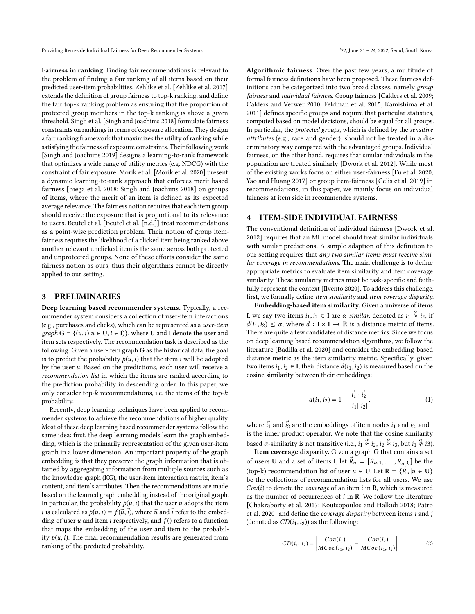Fairness in ranking. Finding fair recommendations is relevant to the problem of finding a fair ranking of all items based on their predicted user-item probabilities. Zehlike et al. [\[Zehlike et al.](#page-10-18) [2017\]](#page-10-18) extends the definition of group fairness to top-k ranking, and define the fair top-k ranking problem as ensuring that the proportion of protected group members in the top-k ranking is above a given threshold. Singh et al. [\[Singh and Joachims 2018\]](#page-10-19) formulate fairness constraints on rankings in terms of exposure allocation. They design a fair ranking framework that maximizes the utility of ranking while satisfying the fairness of exposure constraints. Their following work [\[Singh and Joachims 2019\]](#page-10-20) designs a learning-to-rank framework that optimizes a wide range of utility metrics (e.g. NDCG) with the constraint of fair exposure. Morik et al. [\[Morik et al.](#page-10-21) [2020\]](#page-10-21) present a dynamic learning-to-rank approach that enforces merit based fairness [\[Biega et al.](#page-9-5) [2018;](#page-9-5) [Singh and Joachims 2018\]](#page-10-19) on groups of items, where the merit of an item is defined as its expected average relevance. The fairness notion requires that each item group should receive the exposure that is proportional to its relevance to users. Beutel et al. [\[Beutel et al.](#page-9-6) [\[n.d.\]\]](#page-9-6) treat recommendations as a point-wise prediction problem. Their notion of group itemfairness requires the likelihood of a clicked item being ranked above another relevant unclicked item is the same across both protected and unprotected groups. None of these efforts consider the same fairness notion as ours, thus their algorithms cannot be directly applied to our setting.

#### 3 PRELIMINARIES

Deep learning based recommender systems. Typically, a recommender system considers a collection of user-item interactions (e.g., purchases and clicks), which can be represented as a user-item  $graph G = \{(u, i) | u \in U, i \in I\}$ , where U and I denote the user and item sets respectively. The recommendation task is described as the following: Given a user-item graph G as the historical data, the goal is to predict the probability  $p(u, i)$  that the item i will be adopted by the user  $u$ . Based on the predictions, each user will receive a recommendation list in which the items are ranked according to the prediction probability in descending order. In this paper, we only consider top- $k$  recommendations, i.e. the items of the top- $k$ probability.

Recently, deep learning techniques have been applied to recommender systems to achieve the recommendations of higher quality. Most of these deep learning based recommender systems follow the same idea: first, the deep learning models learn the graph embedding, which is the primarily representation of the given user-item graph in a lower dimension. An important property of the graph embedding is that they preserve the graph information that is obtained by aggregating information from multiple sources such as the knowledge graph (KG), the user-item interaction matrix, item's content, and item's attributes. Then the recommendations are made based on the learned graph embedding instead of the original graph. In particular, the probability  $p(u, i)$  that the user u adopts the item *i* is calculated as  $p(u, i) = f(\vec{u}, \vec{i})$ , where  $\vec{u}$  and  $\vec{i}$  refer to the embedding of user  $u$  and item  $i$  respectively, and  $f()$  refers to a function that maps the embedding of the user and item to the probability  $p(u, i)$ . The final recommendation results are generated from ranking of the predicted probability.

Algorithmic fairness. Over the past few years, a multitude of formal fairness definitions have been proposed. These fairness definitions can be categorized into two broad classes, namely group fairness and individual fairness. Group fairness [\[Calders et al.](#page-10-22) [2009;](#page-10-22) [Calders and Verwer 2010;](#page-10-23) [Feldman et al.](#page-10-24) [2015;](#page-10-24) [Kamishima et al.](#page-10-25) [2011\]](#page-10-25) defines specific groups and require that particular statistics, computed based on model decisions, should be equal for all groups. In particular, the protected groups, which is defined by the sensitive attributes (e.g., race and gender), should not be treated in a discriminatory way compared with the advantaged groups. Individual fairness, on the other hand, requires that similar individuals in the population are treated similarly [\[Dwork et al.](#page-10-13) [2012\]](#page-10-13). While most of the existing works focus on either user-fairness [\[Fu et al.](#page-10-5) [2020;](#page-10-5) [Yao and Huang 2017\]](#page-10-4) or group item-fairness [\[Celis et al.](#page-10-16) [2019\]](#page-10-16) in recommendations, in this paper, we mainly focus on individual fairness at item side in recommender systems.

## 4 ITEM-SIDE INDIVIDUAL FAIRNESS

The conventional definition of individual fairness [\[Dwork et al.](#page-10-13) [2012\]](#page-10-13) requires that an ML model should treat similar individuals with similar predictions. A simple adaption of this definition to our setting requires that any two similar items must receive similar coverage in recommendations. The main challenge is to define appropriate metrics to evaluate item similarity and item coverage similarity. These similarity metrics must be task-specific and faithfully represent the context [\[Ilvento 2020\]](#page-10-26). To address this challenge, first, we formally define item similarity and item coverage disparity.

Embedding-based item similarity. Given a universe of items I, we say two items  $i_1, i_2 \in I$  are  $\alpha$ -similar, denoted as  $i_1 \overset{\alpha}{\approx} i_2$ , if  $d(i, i_2) \leq \alpha$ , where  $d : I \times I \longrightarrow \mathbb{R}$  is a distance metric of items  $d(i_1, i_2) \leq \alpha$ , where  $d : I \times I \to \mathbb{R}$  is a distance metric of items. There are quite a few candidates of distance metrics. Since we focus on deep learning based recommendation algorithms, we follow the literature [\[Badilla et al.](#page-9-7) [2020\]](#page-9-7) and consider the embedding-based distance metric as the item similarity metric. Specifically, given two items  $i_1, i_2 \in I$ , their distance  $d(i_1, i_2)$  is measured based on the cosine similarity between their embeddings:

<span id="page-2-1"></span>
$$
d(i_1, i_2) = 1 - \frac{\vec{i_1} \cdot \vec{i_2}}{|\vec{i_1}||\vec{i_2}|},
$$
 (1)

where  $i_1$  and  $i_2$  are the embeddings of item nodes  $i_1$  and  $i_2$ , and  $\cdot$ is the inner product operator. We note that the cosine similarity based  $\alpha$ -similarity is not transitive (i.e.,  $i_1 \stackrel{\alpha}{\approx} i_2$ ,  $i_2 \stackrel{\alpha}{\approx} i_3$ , but  $i_1 \stackrel{\alpha}{\not\approx} i_3$ ).

Item coverage disparity. Given a graph G that contains a set of users U and a set of items I, let  $\vec{R}_u = [R_{u,1}, \dots, R_{u,k}]$  be the theory is  $\vec{R}_u = [\vec{R}_u, \vec{R}_u, \vec{R}_u, \vec{R}_u]$ (top-k) recommendation list of user  $u \in U$ . Let  $R = \{R_u | u \in U\}$ be the collections of recommendation lists for all users. We use  $Cov(i)$  to denote the *coverage* of an item *i* in **R**, which is measured as the number of occurrences of  $i$  in R. We follow the literature [\[Chakraborty et al.](#page-10-17) [2017;](#page-10-17) [Koutsopoulos and Halkidi 2018;](#page-10-0) [Patro](#page-10-1) [et al.](#page-10-1) [2020\]](#page-10-1) and define the coverage disparity between items i and j (denoted as  $CD(i_1, i_2)$ ) as the following:

<span id="page-2-0"></span>
$$
CD(i_1, i_2) = \left| \frac{Cov(i_1)}{MCov(i_1, i_2)} - \frac{Cov(i_2)}{MCov(i_1, i_2)} \right| \tag{2}
$$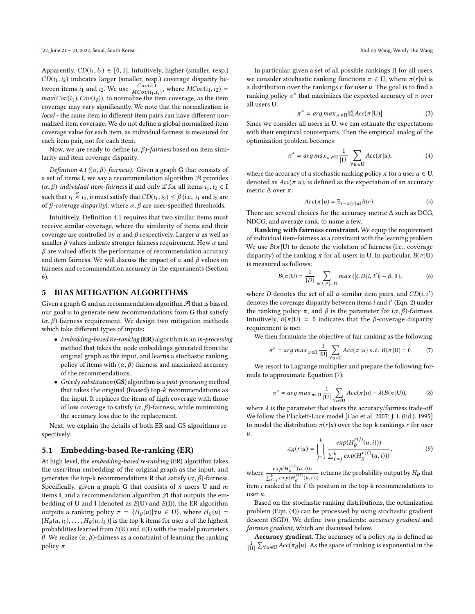Apparently,  $CD(i_1, i_2) \in [0, 1]$ . Intuitively, higher (smaller, resp.)  $CD(i_1,i_2)$  indicates larger (smaller, resp.) coverage disparity between items  $i_1$  and  $i_2$ . We use  $\frac{Cov(i_1)}{MCov(i_2)}$  $\frac{Cov(i_1)}{MCov(i_1,i_2)}$ , where  $MCov(i_1,i_2)$  =<br>lize the item coverage, as the item  $max(Cov(i_1),Cov(i_2))$ , to normalize the item coverage, as the item coverage may vary significantly. We note that the normalization is local - the same item in different item pairs can have different normalized item coverage. We do not define a global normalized item coverage value for each item, as individual fairness is measured for each item pair, not for each item.

Now, we are ready to define  $(\alpha, \beta)$ -fairness based on item similarity and item coverage disparity.

<span id="page-3-0"></span>Definition 4.1 (( $\alpha$ ,  $\beta$ )-fairness). Given a graph G that consists of a set of items I, we say a recommendation algorithm  $\mathcal A$  provides  $(\alpha, \beta)$ -individual item-fairness if and only if for all items  $i_1, i_2 \in I$ such that  $i_1 \stackrel{\alpha}{\sim} i_2$ , it must satisfy that  $CD(i_1, i_2) \leq \beta$  (i.e.,  $i_1$  and  $i_2$  are<br>of  $\beta$ -coverage disparity) where  $\alpha$ ,  $\beta$  are user-specified thresholds of *β*-coverage disparity), where  $\alpha$ ,  $\beta$  are user-specified thresholds.

Intuitively, Definition [4.1](#page-3-0) requires that two similar items must receive similar coverage, where the similarity of items and their coverage are controlled by  $\alpha$  and  $\beta$  respectively. Larger  $\alpha$  as well as smaller  $\beta$  values indicate stronger fairness requirement. How  $\alpha$  and  $\beta$  are valued affects the performance of recommendation accuracy and item fairness. We will discuss the impact of  $\alpha$  and  $\beta$  values on fairness and recommendation accuracy in the experiments (Section [6\)](#page-6-0).

#### 5 BIAS MITIGATION ALGORITHMS

Given a graph G and an recommendation algorithm  $\mathcal A$  that is biased, our goal is to generate new recommendations from G that satisfy  $(\alpha, \beta)$ -fairness requirement. We design two mitigation methods which take different types of inputs:

- Embedding-based Re-ranking (ER) algorithm is an in-processing method that takes the node embeddings generated from the original graph as the input, and learns a stochastic ranking policy of items with  $(\alpha, \beta)$ -fairness and maximized accuracy of the recommendations.
- Greedy substitution (GS) algorithm is a post-processing method that takes the original (biased) top- $k$  recommendations as the input. It replaces the items of high coverage with those of low coverage to satisfy  $(\alpha, \beta)$ -fairness, while minimizing the accuracy loss due to the replacement.

Next, we explain the details of both ER and GS algorithms respectively.

#### 5.1 Embedding-based Re-ranking (ER)

At high level, the embedding-based re-ranking (ER) algorithm takes the user/item embedding of the original graph as the input, and generates the top-k recommendations **R** that satisfy  $(\alpha, \beta)$ -fairness. Specifically, given a graph G that consists of  $n$  users U and  $m$ items I, and a recommendation algorithm  $A$  that outputs the embedding of U and I (denoted as  $E(U)$  and  $E(I)$ ), the ER algorithm outputs a ranking policy  $\pi = {H_{\theta}(u)|\forall u \in U}$ , where  $H_{\theta}(u)$  $[H_\theta(u,i_1),\ldots,H_\theta(u,i_k)]$  is the top-k items for user u of the highest<br>probabilities learned from  $F(I)$  and  $F(I)$  with the model parameters probabilities learned from  $E(U)$  and  $E(I)$  with the model parameters <sup>θ</sup>. We realize (α, <sup>β</sup>)-fairness as a constraint of learning the ranking policy  $\pi$ .

In particular, given a set of all possible rankings Π for all users, we consider stochastic ranking functions  $\pi \in \Pi$ , where  $\pi(r|u)$  is a distribution over the rankings  $r$  for user  $u$ . The goal is to find a ranking policy  $\pi^*$  that maximizes the expected accuracy of  $\pi$  over all users U:

$$
\pi^* = \arg \max_{\pi \in \Pi} \mathbb{E}[\text{Acc}(\pi | \mathbf{U})] \tag{3}
$$

 $\pi^* = arg max_{\pi \in \Pi} \mathbb{E}[Acc(\pi | \mathbf{U})]$  (3)<br>Since we consider all users in U, we can estimate the expectations with their empirical counterparts. Then the empirical analog of the optimization problem becomes

<span id="page-3-2"></span>
$$
\pi^* = \arg \max_{\pi \in \Pi} \frac{1}{|U|} \sum_{\forall u \in U} Acc(\pi|u), \tag{4}
$$

where the accuracy of a stochastic ranking policy  $\pi$  for a user  $u \in U$ , denoted as  $Acc(\pi|u)$ , is defined as the expectation of an accuracy metric  $\Delta$  over  $\pi$ :

$$
Acc(\pi|u) = \mathbb{E}_{r \sim \pi(r|u)} \Delta(r).
$$
 (5)

There are several choices for the accuracy metric ∆ such as DCG, NDCG, and average rank, to name a few.

Ranking with fairness constraint. We equip the requirement of individual item-fairness as a constraint with the learning problem. We use  $B(\pi | U)$  to denote the violation of fairness (i.e., coverage disparity) of the ranking  $\pi$  for all users in U. In particular,  $B(\pi | U)$ is measured as follows:

$$
B(\pi | \mathbf{U}) = \frac{1}{|D|} \sum_{\forall (i, i') \in D} max\{|CD(i, i')| - \beta, 0\},\tag{6}
$$

where D denotes the set of all  $\alpha$ -similar item pairs, and  $CD(i, i')$ <br>denotes the coverage disparity between items i and  $i'$  (Eqn. 2) under denotes the coverage disparity between items *i* and *i'* (Eqn. [2\)](#page-2-0) under the ranking policy  $\pi$ , and  $\beta$  is the parameter for  $(\alpha, \beta)$ -fairness. Intuitively,  $B(\pi | U) = 0$  indicates that the *β*-coverage disparity requirement is met.

We then formulate the objective of fair ranking as the following:

<span id="page-3-1"></span>
$$
\pi^* = \arg \max_{\pi \in \Pi} \frac{1}{|U|} \sum_{\forall u \in U} Acc(\pi | u) \, s.t. \, B(\pi | U) = 0 \tag{7}
$$
\nWe resort to Lagrange multiplier and prepare the following for-

mula to approximate Equation [\(7\)](#page-3-1):

<span id="page-3-4"></span>
$$
\pi^* = arg \, max_{\pi \in \Pi} \frac{1}{|U|} \sum_{\forall u \in U} Acc(\pi | u) - \lambda(B(\pi | U)), \tag{8}
$$

where  $\lambda$  is the parameter that steers the accuracy/fairness trade-off. We follow the Plackett-Luce model [\[Cao et al.](#page-10-27) [2007;](#page-10-27) [J. I. \(Ed.\). 1995\]](#page-10-28) to model the distribution  $\pi(r|u)$  over the top-k rankings r for user  $\mathfrak{u}$ .  $\lambda$ 

<span id="page-3-3"></span>
$$
\pi_{\theta}(r|u) = \prod_{j=1}^{k} \frac{\exp(H_{\theta}^{r(j)}(u,i)))}{\sum_{\ell=j}^{k} \exp(H_{\theta}^{r(\ell)}(u,i)))},
$$
\n(9)

where  $\frac{exp(H_{\theta}^{r(j)}(u,i)))}{\sum_{\ell=j}^{k} exp(H_{\theta}^{r(\ell)}(u,i)))}$ item *i* ranked at the  $\ell$ -th position in the top-k recommendations to returns the probability output by  $H_\theta$  that user u.

Based on the stochastic ranking distributions, the optimization problem (Eqn. [\(4\)](#page-3-2)) can be processed by using stochastic gradient descent (SGD). We define two gradients: accuracy gradient and fairness gradient, which are discussed below.

**Accuracy gradient.** The accuracy of a policy  $\pi_{\theta}$  is defined as 1  $\frac{1}{|U|} \sum_{\forall u \in U} Acc(\pi_{\theta}|u)$ . As the space of ranking is exponential in the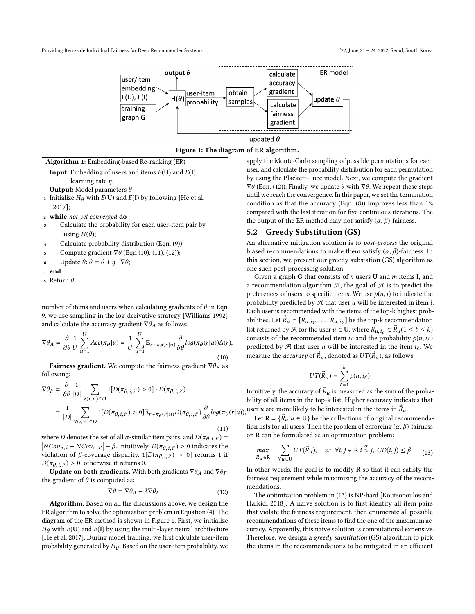<span id="page-4-3"></span>



| <b>Algorithm 1:</b> Embedding-based Re-ranking (ER)                      |  |  |  |  |  |
|--------------------------------------------------------------------------|--|--|--|--|--|
| <b>Input:</b> Embedding of users and items $E(U)$ and $E(I)$ ,           |  |  |  |  |  |
| learning rate $\eta$ .                                                   |  |  |  |  |  |
| <b>Output:</b> Model parameters $\theta$                                 |  |  |  |  |  |
| 1 Initialize $H_{\theta}$ with $E(U)$ and $E(I)$ by following [He et al. |  |  |  |  |  |
| $2017$ :                                                                 |  |  |  |  |  |
| 2 while not yet converged do                                             |  |  |  |  |  |
| Calculate the probability for each user-item pair by<br>3                |  |  |  |  |  |
| using $H(\theta)$ ;                                                      |  |  |  |  |  |
| Calculate probability distribution (Eqn. (9));<br>$\bf{4}$               |  |  |  |  |  |
| Compute gradient $\nabla \theta$ (Eqn (10), (11), (12));<br>5            |  |  |  |  |  |
| Update $\theta$ : $\theta = \theta + \eta \cdot \nabla \theta$ ;<br>6    |  |  |  |  |  |
| end<br>$\overline{7}$                                                    |  |  |  |  |  |
| $s$ Return $\theta$                                                      |  |  |  |  |  |

number of items and users when calculating gradients of  $\theta$  in Eqn. [9,](#page-3-3) we use sampling in the log-derivative strategy [\[Williams 1992\]](#page-10-30) and calculate the accuracy gradient  $\nabla \theta_A$  as follows:

<span id="page-4-0"></span>
$$
\nabla \theta_A = \frac{\partial}{\partial \theta} \frac{1}{U} \sum_{u=1}^U Acc(\pi_{\theta}|u) = \frac{1}{U} \sum_{u=1}^U \mathbb{E}_{r \sim \pi_{\theta}(r|u)} \frac{\partial}{\partial \theta} log(\pi_{\theta}(r|u)) \Delta(r),
$$
\n(10)

Fairness gradient. We compute the fairness gradient  $\nabla \theta_F$  as following:

<span id="page-4-1"></span>
$$
\nabla \theta_F = \frac{\partial}{\partial \theta} \frac{1}{|D|} \sum_{\forall (i,i') \in D} 1[D(\pi_{\theta,i,i'}) > 0] \cdot D(\pi_{\theta,i,i'})
$$
  
= 
$$
\frac{1}{|D|} \sum_{\forall (i,i') \in D} 1[D(\pi_{\theta,i,i'}) > 0] \mathbb{E}_{r \sim \pi_{\theta}(r|u)} D(\pi_{\theta,i,i'}) \frac{\partial}{\partial \theta} log(\pi_{\theta}(r|u))
$$
 (11)

where D denotes the set of all  $\alpha$ -similar item pairs, and  $D(\pi_{\theta,i,i'}) =$ <br> $N_{C\alpha}$ ,  $N_{C\alpha}$ ,  $\beta$ , Intuitively,  $D(\pi_{i,j}) > 0$  indicates the  $\left| NCov_{\pi,i} - NCov_{\pi,i'} \right| - \beta$ . Intuitively,  $D(\pi_{\theta,i,i'}) > 0$  indicates the violation of *B*-coverage disparity  $1[D(\pi_{\theta,i,i'}) > 0]$  returns 1 if violation of *β*-coverage disparity.  $1[D(\pi_{\theta,i,i'})] > 0$ ] returns 1 if  $D(\pi_{\theta,i,i'}) > 0$ . otherwise it returns 0  $D(\pi_{\theta, i, i'}) > 0$ ; otherwise it returns 0.<br>
Undate on both gradients With

**Update on both gradients.** With both gradients  $\nabla \theta_A$  and  $\nabla \theta_F$ , the gradient of  $\theta$  is computed as:

<span id="page-4-2"></span>
$$
\nabla \theta = \nabla \theta_A - \lambda \nabla \theta_F. \tag{12}
$$

Algorithm. Based on all the discussions above, we design the ER algorithm to solve the optimization problem in Equation [\(4\)](#page-3-2). The diagram of the ER method is shown in Figure [1.](#page-4-3) First, we initialize  $H_{\theta}$  with  $E(U)$  and  $E(I)$  by using the multi-layer neural architecture [\[He et al.](#page-10-29) [2017\]](#page-10-29). During model training, we first calculate user-item probability generated by  $H_{\theta}$ . Based on the user-item probability, we apply the Monte-Carlo sampling of possible permutations for each user, and calculate the probability distribution for each permutation by using the Plackett-Luce model. Next, we compute the gradient  $\nabla \theta$  (Eqn. [\(12\)](#page-4-2)). Finally, we update  $\theta$  with  $\nabla \theta$ . We repeat these steps until we reach the convergence. In this paper, we set the termination condition as that the accuracy (Eqn. [\(8\)](#page-3-4)) improves less than 1% compared with the last iteration for five continuous iterations. The the output of the ER method may not satisfy  $(\alpha, \beta)$ -fairness.<br>**5.2 Greedy Substitution (GS)** 

#### **Greedy Substitution (GS)**

An alternative mitigation solution is to post-process the original biased recommendations to make them satisfy  $(\alpha, \beta)$ -fairness. In this section, we present our greedy substation (GS) algorithm as one such post-processing solution.

Given a graph G that consists of  $n$  users U and  $m$  items I, and a recommendation algorithm  $A$ , the goal of  $A$  is to predict the preferences of users to specific items. We use  $p(u, i)$  to indicate the probability predicted by  $\mathcal A$  that user  $u$  will be interested in item  $i$ . Each user is recommended with the items of the top-k highest probabilities. Let  $\vec{R}_u = [R_{u,i_1}, \ldots, R_{u,i_k}]$  be the top-k recommendation<br>list actually  $\vec{R}_u$  for the property **U** where  $R_u = \vec{P}_u (1 \leq k \leq h)$ list returned by  $\mathcal{A}$  for the user  $u \in U$ , where  $R_{u,i_\ell} \in \vec{R}_u (1 \leq \ell \leq k)$ consists of the recommended item  $i_{\ell}$  and the probability  $p(u, i_{\ell})$ <br>predicted by  $\mathcal{A}$  that user u will be interested in the item  $i_{\ell}$ . We predicted by  $\mathcal{A}$  that user u will be interested in the item  $i_{\ell}$ . We measure the *accuracy* of  $\vec{R}_u$ , denoted as  $UT(\vec{R}_u)$ , as follows:

$$
UT(\vec{R}_u) = \sum_{\ell=1}^k p(u, i_\ell)
$$

 $(r|u)$ , user u are more likely to be interested in the items in  $\vec{R}_u$ .<br>Let  $\mathbf{R} = {\{\vec{R}_u | u \in \mathbf{U}\}}$  be the collections of original recon-Intuitively, the accuracy of  $\vec{R}_{u}$  is measured as the sum of the probability of all items in the top-k list. Higher accuracy indicates that

Let  $\mathbf{R} = \{ \vec{R}_u | u \in \mathbf{U} \}$  be the collections of original recommendation lists for all users. Then the problem of enforcing  $(\alpha, \beta)$ -fairness on R can be formulated as an optimization problem:

<span id="page-4-4"></span>
$$
\max_{\vec{R}_u \in \mathbb{R}} \quad \sum_{\forall u \in U} UT(\vec{R}_u), \quad \text{s.t. } \forall i, j \in \mathbb{R} \quad i \stackrel{\alpha}{\approx} j, \quad CD(i, j) \leq \beta. \tag{13}
$$

In other words, the goal is to modify  $R$  so that it can satisfy the fairness requirement while maximizing the accuracy of the recommendations.

The optimization problem in [\(13\)](#page-4-4) is NP-hard [\[Koutsopoulos and](#page-10-0) [Halkidi 2018\]](#page-10-0). A naive solution is to first identify all item pairs that violate the fairness requirement, then enumerate all possible recommendations of these items to find the one of the maximum accuracy. Apparently, this naive solution is computational expensive. Therefore, we design a greedy substitution (GS) algorithm to pick the items in the recommendations to be mitigated in an efficient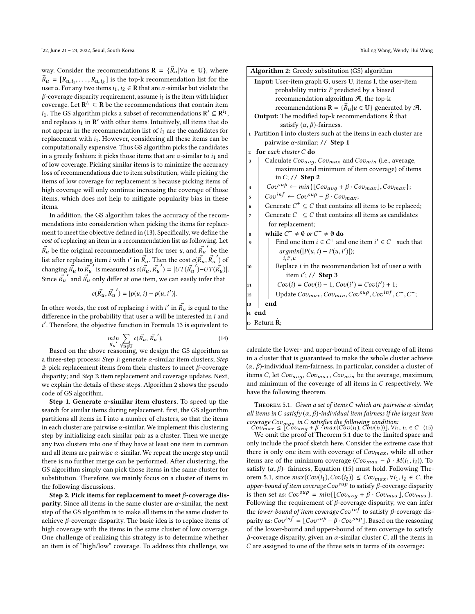way. Consider the recommendations  $\mathbf{R} = \{\vec{R}_u | \forall u \in \mathbf{U}\}$ , where  $\vec{R}_u = [R_{u,i_1}, \ldots, R_{u,i_k}]$  is the top-k recommendation list for the user u. For any two items is is  $\in \mathbf{R}$  that are *a*-similar but violate the user u. For any two items  $i_1, i_2 \in \mathbb{R}$  that are  $\alpha$ -similar but violate the  $\beta$ -coverage disparity requirement, assume  $i_1$  is the item with higher coverage. Let  $\mathbb{R}^{i_1} \subseteq \mathbb{R}$  be the recommendations that contain item *i*<sub>1</sub>. The GS algorithm picks a subset of recommendations  $\mathbf{R}' \subseteq \mathbf{R}^{i_1}$ , and replaces  $i_1$  in  $\mathbf{R}'$  with other items. Intuitively, all items that do not appear in the recommendation list of  $i_1$  are the candidates for replacement with  $i_1$ . However, considering all these items can be computationally expensive. Thus GS algorithm picks the candidates in a greedy fashion: it picks those items that are  $\alpha$ -similar to  $i_1$  and of low coverage. Picking similar items is to minimize the accuracy loss of recommendations due to item substitution, while picking the items of low coverage for replacement is because picking items of high coverage will only continue increasing the coverage of those items, which does not help to mitigate popularity bias in these items.

In addition, the GS algorithm takes the accuracy of the recommendations into consideration when picking the items for replacement to meet the objective defined in [\(13\)](#page-4-4). Specifically, we define the cost of replacing an item in a recommendation list as following. Let  $\vec{R_u}$  be the original recommendation list for user u, and  $\vec{R_u}'$  be the list after replacing item i with i' in  $\vec{R}_u$ . Then the cost  $c(\vec{R}_u, \vec{R}_u')$  of changing  $\vec{R_u}$  to  $\vec{R_u}$  is measured as  $c(\vec{R_u}, \vec{R_u}') = |UT(\vec{R_u}) - UT(\vec{R_u})|$ . Since  $\vec{R}_{u}$  and  $\vec{R}_{u}$  only differ at one item, we can easily infer that

$$
c(\vec{R_u}, \vec{R_u}') = |p(u, i) - p(u, i')|.
$$

In other words, the cost of replacing  $i$  with  $i'$  in  $\vec{R_u}$  is equal to the difference in the probability that user  $u$  will be interested in  $i$  and i ′ . Therefore, the objective function in Formula [13](#page-4-4) is equivalent to

$$
\min_{\vec{R}_{\mathbf{u}}} \sum_{\forall \mathbf{u} \in \mathbf{U}} c(\vec{R}_{\mathbf{u}}, \vec{R}_{\mathbf{u}}'),\tag{14}
$$

 $\vec{R}_{u}^{\prime}$   $\forall u \in U$ <br>Based on the above reasoning, we design the GS algorithm as a three-step process: Step 1: generate  $\alpha$ -similar item clusters; Step 2: pick replacement items from their clusters to meet  $\beta$ -coverage disparity; and Step 3: item replacement and coverage updates. Next, we explain the details of these steps. Algorithm [2](#page-5-0) shows the pseudo code of GS algorithm.

Step 1. Generate  $\alpha$ -similar item clusters. To speed up the search for similar items during replacement, first, the GS algorithm partitions all items in I into a number of clusters, so that the items in each cluster are pairwise  $\alpha$ -similar. We implement this clustering step by initializing each similar pair as a cluster. Then we merge any two clusters into one if they have at least one item in common and all items are pairwise  $\alpha$ -similar. We repeat the merge step until there is no further merge can be performed. After clustering, the GS algorithm simply can pick those items in the same cluster for substitution. Therefore, we mainly focus on a cluster of items in the following discussions.

Step 2. Pick items for replacement to meet  $\beta$ -coverage disparity. Since all items in the same cluster are  $\alpha$ -similar, the next step of the GS algorithm is to make all items in the same cluster to achieve  $\beta$ -coverage disparity. The basic idea is to replace items of high coverage with the items in the same cluster of low coverage. One challenge of realizing this strategy is to determine whether an item is of "high/low" coverage. To address this challenge, we

<span id="page-5-0"></span>

| Algorithm 2: Greedy substitution (GS) algorithm                                                          |  |  |  |  |  |
|----------------------------------------------------------------------------------------------------------|--|--|--|--|--|
| Input: User-item graph G, users U, items I, the user-item                                                |  |  |  |  |  |
| probability matrix $P$ predicted by a biased                                                             |  |  |  |  |  |
| recommendation algorithm $\mathcal{A}$ , the top-k                                                       |  |  |  |  |  |
| recommendations $\mathbf{R} = {\{\vec{R}_u   u \in \mathbf{U}\}}$ generated by A.                        |  |  |  |  |  |
| <b>Output:</b> The modified top-k recommendations $\hat{R}$ that                                         |  |  |  |  |  |
| satisfy $(\alpha, \beta)$ -fairness.                                                                     |  |  |  |  |  |
| 1 Partition I into clusters such at the items in each cluster are                                        |  |  |  |  |  |
| pairwise $\alpha$ -similar; // Step 1                                                                    |  |  |  |  |  |
| for each cluster $C$ do<br>$\overline{2}$                                                                |  |  |  |  |  |
| Calculate $Cov_{avg}$ , $Cov_{max}$ and $Cov_{min}$ (i.e., average,<br>3                                 |  |  |  |  |  |
| maximum and minimum of item coverage) of items                                                           |  |  |  |  |  |
| in $C$ ; // Step 2                                                                                       |  |  |  |  |  |
| $Cov^{sup} \leftarrow min\{[Cov_{avg} + \beta \cdot Cov_{max}], Cov_{max}\};$<br>$\overline{\mathbf{4}}$ |  |  |  |  |  |
| $Cov^{inf} \leftarrow Cov^{sup} - \beta \cdot Cov_{max};$<br>5                                           |  |  |  |  |  |
| Generate $C^+ \subseteq C$ that contains all items to be replaced;<br>6                                  |  |  |  |  |  |
| Generate $C^- \subseteq C$ that contains all items as candidates<br>7                                    |  |  |  |  |  |
| for replacement;                                                                                         |  |  |  |  |  |
| while $C^- \neq \emptyset$ or $C^+ \neq \emptyset$ do<br>8                                               |  |  |  |  |  |
| Find one item $i \in C^+$ and one item $i' \in C^-$ such that<br>9                                       |  |  |  |  |  |
| $argmin( P(u, i) - P(u, i') );$<br>i, i', u                                                              |  |  |  |  |  |
| Replace $i$ in the recommendation list of user $u$ with<br>10                                            |  |  |  |  |  |
| item $i'$ ; // Step 3                                                                                    |  |  |  |  |  |
| $Cov(i) = Cov(i) - 1, Cov(i') = Cov(i') + 1;$<br>11                                                      |  |  |  |  |  |
| Update $Cov_{max}$ , $Cov_{min}$ , $Cov^{sup}$ , $Cov^{inf}$ , $C^+$ , $C^-$ ;<br>12                     |  |  |  |  |  |
| end<br>h3                                                                                                |  |  |  |  |  |
| 14 end                                                                                                   |  |  |  |  |  |
| 15 Return R;                                                                                             |  |  |  |  |  |
|                                                                                                          |  |  |  |  |  |

calculate the lower- and upper-bound of item coverage of all items in a cluster that is guaranteed to make the whole cluster achieve (α, β)-individual item-fairness. In particular, consider a cluster of items C, let  $Cov_{avg}$ ,  $Cov_{max}$ ,  $Cov_{min}$  be the average, maximum, and minimum of the coverage of all items in  $\cal C$  respectively. We have the following theorem.

<span id="page-5-1"></span>THEOREM 5.1. Given a set of items C which are pairwise  $\alpha$ -similar, all items in C satisfy  $(\alpha, \beta)$ -individual item fairness if the largest item

<span id="page-5-2"></span>coverage Cov<sub>max</sub> in C satisfies the following condition:<br>
Cov<sub>max</sub>  $\leq$  [Cov<sub>avg</sub> + β · max(Cov(i<sub>1</sub>), Cov(i<sub>2</sub>))],  $\forall$ i<sub>1</sub>, i<sub>2</sub>  $\in$  C (15)<br>
We omit the proof of Theorem 5.1 due to the limited space and We omit the proof of Theorem [5.1](#page-5-1) due to the limited space and only include the proof sketch here. Consider the extreme case that there is only one item with coverage of  $Cov_{max}$ , while all other items are of the minimum coverage  $(Cov_{max} - \beta \cdot M(i_1, i_2))$ . To satisfy  $(\alpha, \beta)$ - fairness, Equation [\(15\)](#page-5-2) must hold. Following The-orem [5.1,](#page-5-1) since  $max(Cov(i_1),Cov(i_2)) \leq Cov_{max}, \forall i_1, i_2 \in C$ , the upper-bound of item coverage  $Cov^{sup}$  to satisfy  $\beta$ -coverage disparity is then set as:  $Cov^{sup} = min\{[Cov_{avg} + \beta \cdot Cov_{max}], Cov_{max}\}.$ <br>Following the requirement of *β*-coverage disparity we can infer Following the requirement of  $\beta$ -coverage disparity, we can infer the *lower-bound of item coverage Cov* $\frac{inf}{}$  to satisfy β-coverage disparity as:  $Cov^{inf} = \lfloor Cov^{sup} - \beta \cdot Cov^{sup} \rfloor$ . Based on the reasoning of the lower-bound and upper-bound of item coverage to satisfy  $β$ -coverage disparity, given an  $α$ -similar cluster C, all the items in C are assigned to one of the three sets in terms of its coverage: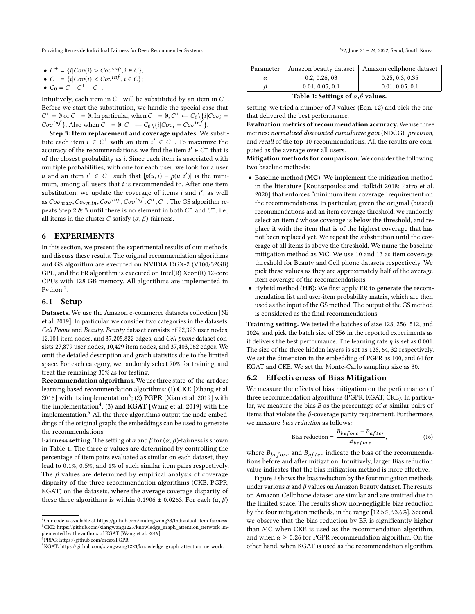- $C^+ = \{i | Cov(i) > Cov^{sup}, i \in C\};$ <br>•  $C^- = \{i | Cov(i) < Cov^{inf}, i \in C\}.$
- $C^- = \{i|Cov(i) < Cov^{inf}, i \in C\};$
- $C_0 = C C^+ C^-$ .

Intuitively, each item in  $C^+$  will be substituted by an item in  $C^-$ . Before we start the substitution, we handle the special case that  $C^+ = \emptyset$  or  $C^- = \emptyset$ . In particular, when  $C^+ = \emptyset$ ,  $C^+ \leftarrow C_0 \setminus \{i | Cov_i = \emptyset\}$ *Cov*<sup>inf</sup> }. Also when  $C^- = \emptyset$ ,  $C^- \leftarrow C_0 \setminus \{i | Cov_i = Cov^{inf} \}$ .

Step 3: Item replacement and coverage updates. We substitute each item  $i \in C^+$  with an item  $i' \in C^-$ . To maximize the accuracy of the recommendations, we find the item  $i' \in C^-$  that is of the closest probability as i. Since each item is associated with multiple probabilities, with one for each user, we look for a user *u* and an item *i*′ ∈ *C*<sup>−</sup> such that  $|p(u, i) - p(u, i')|$  is the mini-<br>mum among all users that *i* is recommended to After one item mum, among all users that  $i$  is recommended to. After one item substitution, we update the coverage of items  $i$  and  $i'$ , as well as  $Cov_{max}$ ,  $Cov_{min}$ ,  $Cov^{sup}$ ,  $Cov^{inf}$ ,  $C^+$ ,  $C^-$ . The GS algorithm repeats Step 2 & 3 until there is no element in both  $C^+$  and  $C^-$ , i.e., all items in the cluster C satisfy  $(\alpha, \beta)$ -fairness.

## <span id="page-6-0"></span>6 EXPERIMENTS

In this section, we present the experimental results of our methods, and discuss these results. The original recommendation algorithms and GS algorithm are executed on NVIDIA DGX-2 (V100/32GB) GPU, and the ER algorithm is executed on Intel(R) Xeon(R) 12-core CPUs with 128 GB memory. All algorithms are implemented in Python<sup>[2](#page-6-1)</sup>.

## 6.1 Setup

Datasets. We use the Amazon e-commerce datasets collection [\[Ni](#page-10-31) [et al.](#page-10-31) [2019\]](#page-10-31). In particular, we consider two categories in the datasets: Cell Phone and Beauty. Beauty dataset consists of 22,323 user nodes, 12,101 item nodes, and 37,205,822 edges, and Cell phone dataset consists 27,879 user nodes, 10,429 item nodes, and 37,403,062 edges. We omit the detailed description and graph statistics due to the limited space. For each category, we randomly select 70% for training, and treat the remaining 30% as for testing.

Recommendation algorithms. We use three state-of-the-art deep learning based recommendation algorithms: (1) CKE [\[Zhang et al.](#page-10-32) [2016\]](#page-10-32) with its implementation<sup>[3](#page-6-2)</sup>; (2) **PGPR** [\[Xian et al.](#page-10-33) [2019\]](#page-10-33) with the implementation<sup>[4](#page-6-3)</sup>; (3) and **KGAT** [\[Wang et al.](#page-10-34) [2019\]](#page-10-34) with the implementation.<sup>[5](#page-6-4)</sup> All the three algorithms output the node embeddings of the original graph; the embeddings can be used to generate the recommendations.

**Fairness setting.** The setting of  $\alpha$  and  $\beta$  for  $(\alpha, \beta)$ -fairness is shown in Table [1.](#page-6-5) The three  $\alpha$  values are determined by controlling the percentage of item pairs evaluated as similar on each dataset, they lead to <sup>0</sup>.1%, <sup>0</sup>.5%, and 1% of such similar item pairs respectively. The  $\beta$  values are determined by empirical analysis of coverage disparity of the three recommendation algorithms (CKE, PGPR, KGAT) on the datasets, where the average coverage disparity of these three algorithms is within 0.1906  $\pm$  0.0263. For each  $(\alpha, \beta)$ 

<span id="page-6-5"></span>

| Parameter | Amazon beauty dataset | Amazon cellphone dataset |
|-----------|-----------------------|--------------------------|
|           | 0.2, 0.26, 03         | 0.25, 0.3, 0.35          |
|           | 0.01, 0.05, 0.1       | 0.01, 0.05, 0.1          |

Table 1: Settings of  $\alpha, \beta$  values.

setting, we tried a number of  $\lambda$  values (Eqn. [12\)](#page-4-2) and pick the one that delivered the best performance.

Evaluation metrics of recommendation accuracy. We use three metrics: normalized discounted cumulative gain (NDCG), precision, and recall of the top-10 recommendations. All the results are computed as the average over all users.

Mitigation methods for comparison. We consider the following two baseline methods:

- Baseline method (MC): We implement the mitigation method in the literature [\[Koutsopoulos and Halkidi 2018;](#page-10-0) [Patro et al.](#page-10-1) [2020\]](#page-10-1) that enforces "minimum item coverage" requirement on the recommendations. In particular, given the original (biased) recommendations and an item coverage threshold, we randomly select an item i whose coverage is below the threshold, and replace it with the item that is of the highest coverage that has not been replaced yet. We repeat the substitution until the coverage of all items is above the threshold. We name the baseline mitigation method as MC. We use 10 and 13 as item coverage threshold for Beauty and Cell phone datasets respectively. We pick these values as they are approximately half of the average item coverage of the recommendations.
- Hybrid method (HB): We first apply ER to generate the recommendation list and user-item probability matrix, which are then used as the input of the GS method. The output of the GS method is considered as the final recommendations.

Training setting. We tested the batches of size 128, 256, 512, and 1024, and pick the batch size of 256 in the reported experiments as it delivers the best performance. The learning rate  $\eta$  is set as 0.001. The size of the three hidden layers is set as <sup>128</sup>, <sup>64</sup>, <sup>32</sup> respectively. We set the dimension in the embedding of PGPR as 100, and 64 for KGAT and CKE. We set the Monte-Carlo sampling size as 30.

#### 6.2 Effectiveness of Bias Mitigation

We measure the effects of bias mitigation on the performance of three recommendation algorithms (PGPR, KGAT, CKE). In particular, we measure the bias B as the percentage of  $\alpha$ -similar pairs of items that violate the  $β$ -coverage parity requirement. Furthermore, we measure bias reduction as follows:

Bias reduction = 
$$
\frac{B_{before} - B_{after}}{B_{before}},
$$
 (16)

where  $B_{before}$  and  $B_{after}$  indicate the bias of the recommendations before and after mitigation. Intuitively, larger Bias reduction value indicates that the bias mitigation method is more effective.

Figure [2](#page-7-0) shows the bias reduction by the four mitigation methods under various  $\alpha$  and  $\beta$  values on Amazon Beauty dataset. The results on Amazon Cellphone dataset are similar and are omitted due to the limited space. The results show non-negligible bias reduction by the four mitigation methods, in the range [12.5%, 93.6%]. Second, we observe that the bias reduction by ER is significantly higher than MC when CKE is used as the recommendation algorithm, and when  $\alpha \geq 0.26$  for PGPR recommendation algorithm. On the other hand, when KGAT is used as the recommendation algorithm,

<span id="page-6-2"></span><span id="page-6-1"></span> $^2$  Our code is available at https://github.com/xiulingwang33/Individual-item-fairness  $^3{\rm CKE:}$ https://github.com/xiangwang1223/knowledge\_graph\_attention\_network implemented by the authors of KGAT [\[Wang et al. 2019\]](#page-10-34). <sup>4</sup>PRPG: https://github.com/orcax/PGPR.

<span id="page-6-3"></span>

<span id="page-6-4"></span><sup>5</sup>KGAT: https://github.com/xiangwang1223/knowledge\_graph\_attention\_network.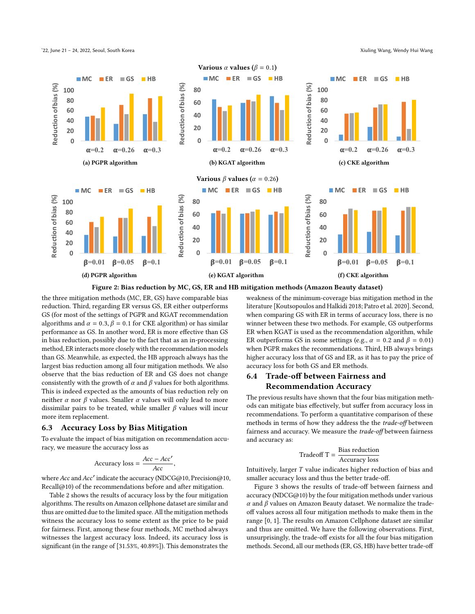

<span id="page-7-0"></span>

Figure 2: Bias reduction by MC, GS, ER and HB mitigation methods (Amazon Beauty dataset)

the three mitigation methods (MC, ER, GS) have comparable bias reduction. Third, regarding ER versus GS, ER either outperforms GS (for most of the settings of PGPR and KGAT recommendation algorithms and  $\alpha = 0.3$ ,  $\beta = 0.1$  for CKE algorithm) or has similar performance as GS. In another word, ER is more effective than GS in bias reduction, possibly due to the fact that as an in-processing method, ER interacts more closely with the recommendation models than GS. Meanwhile, as expected, the HB approach always has the largest bias reduction among all four mitigation methods. We also observe that the bias reduction of ER and GS does not change consistently with the growth of  $\alpha$  and  $\beta$  values for both algorithms. This is indeed expected as the amounts of bias reduction rely on neither  $\alpha$  nor  $\beta$  values. Smaller  $\alpha$  values will only lead to more dissimilar pairs to be treated, while smaller  $\beta$  values will incur more item replacement.

#### 6.3 Accuracy Loss by Bias Mitigation

To evaluate the impact of bias mitigation on recommendation accuracy, we measure the accuracy loss as

$$
Accuracy loss = \frac{Acc - Acc'}{Acc},
$$

where Acc and Acc' indicate the accuracy (NDCG@10, Precision@10, Recall@10) of the recommendations before and after mitigation.

Table [2](#page-8-0) shows the results of accuracy loss by the four mitigation algorithms. The results on Amazon cellphone dataset are similar and thus are omitted due to the limited space. All the mitigation methods witness the accuracy loss to some extent as the price to be paid for fairness. First, among these four methods, MC method always witnesses the largest accuracy loss. Indeed, its accuracy loss is significant (in the range of [31.53%, 40.89%]). This demonstrates the

weakness of the minimum-coverage bias mitigation method in the literature [\[Koutsopoulos and Halkidi 2018;](#page-10-0) [Patro et al.](#page-10-1) [2020\]](#page-10-1). Second, when comparing GS with ER in terms of accuracy loss, there is no winner between these two methods. For example, GS outperforms ER when KGAT is used as the recommendation algorithm, while ER outperforms GS in some settings (e.g.,  $\alpha = 0.2$  and  $\beta = 0.01$ ) when PGPR makes the recommendations. Third, HB always brings higher accuracy loss that of GS and ER, as it has to pay the price of accuracy loss for both GS and ER methods.

## 6.4 Trade-off between Fairness and Recommendation Accuracy

The previous results have shown that the four bias mitigation methods can mitigate bias effectively, but suffer from accuracy loss in recommendations. To perform a quantitative comparison of these methods in terms of how they address the the trade-off between fairness and accuracy. We measure the trade-off between fairness and accuracy as:

$$
Tradeoff T = \frac{Bias reduction}{Accuracy loss}
$$

Intuitively, larger T value indicates higher reduction of bias and smaller accuracy loss and thus the better trade-off.

Figure [3](#page-9-8) shows the results of trade-off between fairness and accuracy (NDCG@10) by the four mitigation methods under various α and β values on Amazon Beauty dataset. We normalize the tradeoff values across all four mitigation methods to make them in the range [0, 1]. The results on Amazon Cellphone dataset are similar and thus are omitted. We have the following observations. First, unsurprisingly, the trade-off exists for all the four bias mitigation methods. Second, all our methods (ER, GS, HB) have better trade-off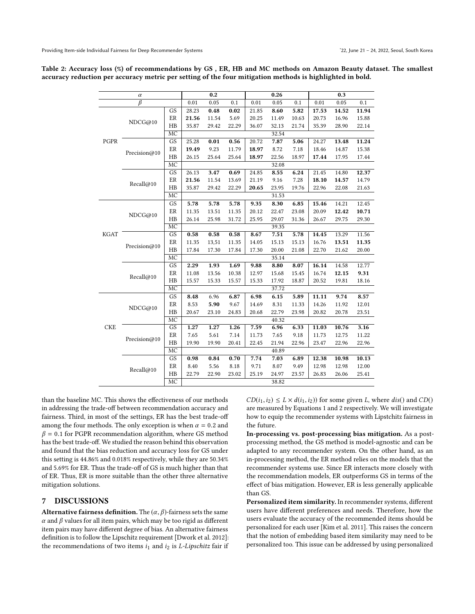<span id="page-8-0"></span>

| Table 2: Accuracy loss (%) of recommendations by GS, ER, HB and MC methods on Amazon Beauty dataset. The smallest |  |  |  |  |  |  |  |  |  |
|-------------------------------------------------------------------------------------------------------------------|--|--|--|--|--|--|--|--|--|
| accuracy reduction per accuracy metric per setting of the four mitigation methods is highlighted in bold.         |  |  |  |  |  |  |  |  |  |

|             | $\alpha$           |                |       | 0.2   |       |       | 0.26  |       |       | 0.3   |       |
|-------------|--------------------|----------------|-------|-------|-------|-------|-------|-------|-------|-------|-------|
|             | $\overline{\beta}$ |                | 0.01  | 0.05  | 0.1   | 0.01  | 0.05  | 0.1   | 0.01  | 0.05  | 0.1   |
|             |                    | <b>GS</b>      | 28.23 | 0.48  | 0.02  | 21.85 | 8.60  | 5.82  | 17.53 | 14.52 | 11.94 |
|             | NDCG@10            | ER             | 21.56 | 11.54 | 5.69  | 20.25 | 11.49 | 10.63 | 20.73 | 16.96 | 15.88 |
|             |                    | H <sub>B</sub> | 35.87 | 29.42 | 22.29 | 36.07 | 32.13 | 21.74 | 35.39 | 28.90 | 22.14 |
|             |                    | MC             |       |       |       |       | 32.54 |       |       |       |       |
| PGPR        | Precision@10       | <b>GS</b>      | 25.28 | 0.01  | 0.56  | 20.72 | 7.87  | 5.06  | 24.27 | 13.48 | 11.24 |
|             |                    | ER             | 19.49 | 9.23  | 11.79 | 18.97 | 8.72  | 7.18  | 18.46 | 14.87 | 15.38 |
|             |                    | HB             | 26.15 | 25.64 | 25.64 | 18.97 | 22.56 | 18.97 | 17.44 | 17.95 | 17.44 |
|             |                    | MC             |       |       |       |       | 32.08 |       |       |       |       |
|             |                    | GS             | 26.13 | 3.47  | 0.69  | 24.85 | 8.55  | 6.24  | 21.45 | 14.80 | 12.37 |
|             | Recall@10          | ER             | 21.56 | 11.54 | 13.69 | 21.19 | 9.16  | 7.28  | 18.10 | 14.57 | 14.79 |
|             |                    | HB             | 35.87 | 29.42 | 22.29 | 20.65 | 23.95 | 19.76 | 22.96 | 22.08 | 21.63 |
|             |                    | MC             |       |       |       |       | 31.53 |       |       |       |       |
|             |                    | GS             | 5.78  | 5.78  | 5.78  | 9.35  | 8.30  | 6.85  | 15.46 | 14.21 | 12.45 |
|             | NDCG@10            | ER             | 11.35 | 13.51 | 11.35 | 20.12 | 22.47 | 23.08 | 20.09 | 12.42 | 10.71 |
|             |                    | H B            | 26.14 | 25.98 | 31.72 | 25.95 | 29.07 | 31.36 | 26.67 | 29.75 | 29.30 |
|             |                    | MC             |       |       |       |       | 39.35 |       |       |       |       |
| <b>KGAT</b> |                    | GS             | 0.58  | 0.58  | 0.58  | 8.67  | 7.51  | 5.78  | 14.45 | 13.29 | 11.56 |
|             | Precision@10       | ER             | 11.35 | 13,51 | 11.35 | 14.05 | 15.13 | 15.13 | 16.76 | 13.51 | 11.35 |
|             |                    | H B            | 17.84 | 17.30 | 17.84 | 17.30 | 20.00 | 21.08 | 22.70 | 21.62 | 20.00 |
|             |                    | MC             |       |       |       |       | 35.14 |       |       |       |       |
|             |                    | GS             | 2.29  | 1.93  | 1.69  | 9.88  | 8.80  | 8.07  | 16.14 | 14.58 | 12.77 |
|             | Recall@10          | ER             | 11.08 | 13.56 | 10.38 | 12.97 | 15.68 | 15.45 | 16.74 | 12.15 | 9.31  |
|             |                    | HB             | 15.57 | 15.33 | 15.57 | 15.33 | 17.92 | 18.87 | 20.52 | 19.81 | 18.16 |
|             |                    | MC             |       |       |       |       | 37.72 |       |       |       |       |
|             | NDCG@10            | GS             | 8.48  | 6.96  | 6.87  | 6.98  | 6.15  | 5.89  | 11.11 | 9.74  | 8.57  |
|             |                    | ER             | 8.53  | 5.90  | 9.67  | 14.69 | 8.31  | 11.33 | 14.26 | 11.92 | 12.01 |
|             |                    | H B            | 20.67 | 23.10 | 24.83 | 20.68 | 22.79 | 23.98 | 20.82 | 20.78 | 23.51 |
|             |                    | MC             |       |       |       |       | 40.32 |       |       |       |       |
| <b>CKE</b>  |                    | GS             | 1.27  | 1.27  | 1.26  | 7.59  | 6.96  | 6.33  | 11.03 | 10.76 | 3.16  |
|             | Precision@10       | ER             | 7.65  | 5.61  | 7.14  | 11.73 | 7.65  | 9.18  | 11.73 | 12.75 | 11.22 |
|             |                    | HB             | 19.90 | 19.90 | 20.41 | 22.45 | 21.94 | 22.96 | 23.47 | 22.96 | 22.96 |
|             |                    | MC             |       |       |       |       | 40.89 |       |       |       |       |
|             |                    | GS             | 0.98  | 0.84  | 0.70  | 7.74  | 7.03  | 6.89  | 12.38 | 10.98 | 10.13 |
| Recall@10   |                    | ER             | 8.40  | 5.56  | 8.18  | 9.71  | 8.07  | 9.49  | 12.98 | 12.98 | 12.00 |
|             |                    | HB             | 22.79 | 22.90 | 23.02 | 25.19 | 24.97 | 23.57 | 26.83 | 26.06 | 25.41 |
|             | MC                 |                |       |       |       | 38.82 |       |       |       |       |       |

than the baseline MC. This shows the effectiveness of our methods in addressing the trade-off between recommendation accuracy and fairness. Third, in most of the settings, ER has the best trade-off among the four methods. The only exception is when  $\alpha = 0.2$  and  $\beta$  = 0.1 for PGPR recommendation algorithm, where GS method has the best trade-off. We studied the reason behind this observation and found that the bias reduction and accuracy loss for GS under this setting is 44.86% and 0.018% respectively, while they are 50.34% and 5.69% for ER. Thus the trade-off of GS is much higher than that of ER. Thus, ER is more suitable than the other three alternative mitigation solutions.

## 7 DISCUSSIONS

Alternative fairness definition. The  $(\alpha, \beta)$ -fairness sets the same  $α$  and  $β$  values for all item pairs, which may be too rigid as different item pairs may have different degree of bias. An alternative fairness definition is to follow the Lipschitz requirement [\[Dwork et al.](#page-10-13) [2012\]](#page-10-13): the recommendations of two items  $i_1$  and  $i_2$  is L-Lipschitz fair if

 $CD(i_1, i_2) \le L \times d(i_1, i_2)$  for some given L, where  $dis()$  and  $CD()$ are measured by Equations [1](#page-2-1) and [2](#page-2-0) respectively. We will investigate how to equip the recommender systems with Lipstchitz fairness in the future.

In-processing vs. post-processing bias mitigation. As a postprocessing method, the GS method is model-agnostic and can be adapted to any recommender system. On the other hand, as an in-processing method, the ER method relies on the models that the recommender systems use. Since ER interacts more closely with the recommendation models, ER outperforms GS in terms of the effect of bias mitigation. However, ER is less generally applicable than GS.

Personalized item similarity. In recommender systems, different users have different preferences and needs. Therefore, how the users evaluate the accuracy of the recommended items should be personalized for each user [\[Kim et al.](#page-10-35) [2011\]](#page-10-35). This raises the concern that the notion of embedding based item similarity may need to be personalized too. This issue can be addressed by using personalized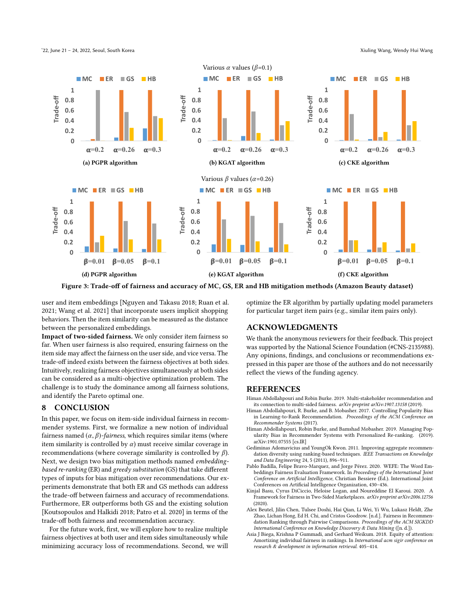

<span id="page-9-8"></span>

Figure 3: Trade-off of fairness and accuracy of MC, GS, ER and HB mitigation methods (Amazon Beauty dataset)

user and item embeddings [\[Nguyen and Takasu 2018;](#page-10-36) [Ruan et al.](#page-10-37) [2021;](#page-10-37) [Wang et al.](#page-10-38) [2021\]](#page-10-38) that incorporate users implicit shopping behaviors. Then the item similarity can be measured as the distance between the personalized embeddings.

Impact of two-sided fairness. We only consider item fairness so far. When user fairness is also required, ensuring fairness on the item side may affect the fairness on the user side, and vice versa. The trade-off indeed exists between the fairness objectives at both sides. Intuitively, realizing fairness objectives simultaneously at both sides can be considered as a multi-objective optimization problem. The challenge is to study the dominance among all fairness solutions, and identify the Pareto optimal one.

#### 8 CONCLUSION

In this paper, we focus on item-side individual fairness in recommender systems. First, we formalize a new notion of individual fairness named  $(\alpha, \beta)$ -fairness, which requires similar items (where item similarity is controlled by  $\alpha$ ) must receive similar coverage in recommendations (where coverage similarity is controlled by  $β$ ). Next, we design two bias mitigation methods named embeddingbased re-ranking (ER) and greedy substitution (GS) that take different types of inputs for bias mitigation over recommendations. Our experiments demonstrate that both ER and GS methods can address the trade-off between fairness and accuracy of recommendations. Furthermore, ER outperforms both GS and the existing solution [\[Koutsopoulos and Halkidi 2018;](#page-10-0) [Patro et al.](#page-10-1) [2020\]](#page-10-1) in terms of the trade-off both fairness and recommendation accuracy.

For the future work, first, we will explore how to realize multiple fairness objectives at both user and item sides simultaneously while minimizing accuracy loss of recommendations. Second, we will optimize the ER algorithm by partially updating model parameters for particular target item pairs (e.g., similar item pairs only).

## ACKNOWLEDGMENTS

We thank the anonymous reviewers for their feedback. This project was supported by the National Science Foundation (#CNS-2135988). Any opinions, findings, and conclusions or recommendations expressed in this paper are those of the authors and do not necessarily reflect the views of the funding agency.

#### REFERENCES

<span id="page-9-0"></span>Himan Abdollahpouri and Robin Burke. 2019. Multi-stakeholder recommendation and its connection to multi-sided fairness. arXiv preprint arXiv:1907.13158 (2019).

- <span id="page-9-2"></span>Himan Abdollahpouri, R. Burke, and B. Mobasher. 2017. Controlling Popularity Bias in Learning-to-Rank Recommendation. Proceedings of the ACM Conference on Recommender Systems (2017).
- <span id="page-9-3"></span>Himan Abdollahpouri, Robin Burke, and Bamshad Mobasher. 2019. Managing Popularity Bias in Recommender Systems with Personalized Re-ranking. (2019). arXiv[:1901.07555](https://arxiv.org/abs/1901.07555) [cs.IR]
- <span id="page-9-4"></span>Gediminas Adomavicius and YoungOk Kwon. 2011. Improving aggregate recommendation diversity using ranking-based techniques. IEEE Transactions on Knowledge and Data Engineering 24, 5 (2011), 896–911.
- <span id="page-9-7"></span>Pablo Badilla, Felipe Bravo-Marquez, and Jorge Pérez. 2020. WEFE: The Word Embeddings Fairness Evaluation Framework. In Proceedings of the International Joint Conference on Artificial Intelligence, Christian Bessiere (Ed.). International Joint Conferences on Artificial Intelligence Organization, 430–436.
- <span id="page-9-1"></span>Kinjal Basu, Cyrus DiCiccio, Heloise Logan, and Noureddine El Karoui. 2020. A Framework for Fairness in Two-Sided Marketplaces. arXiv preprint arXiv:2006.12756  $(2020)$
- <span id="page-9-6"></span>Alex Beutel, Jilin Chen, Tulsee Doshi, Hai Qian, Li Wei, Yi Wu, Lukasz Heldt, Zhe Zhao, Lichan Hong, Ed H. Chi, and Cristos Goodrow. [n.d.]. Fairness in Recommendation Ranking through Pairwise Comparisons. Proceedings of the ACM SIGKDD International Conference on Knowledge Discovery & Data Mining ([n. d.]).
- <span id="page-9-5"></span>Asia J Biega, Krishna P Gummadi, and Gerhard Weikum. 2018. Equity of attention: Amortizing individual fairness in rankings. In International acm sigir conference on research & development in information retrieval. 405–414.